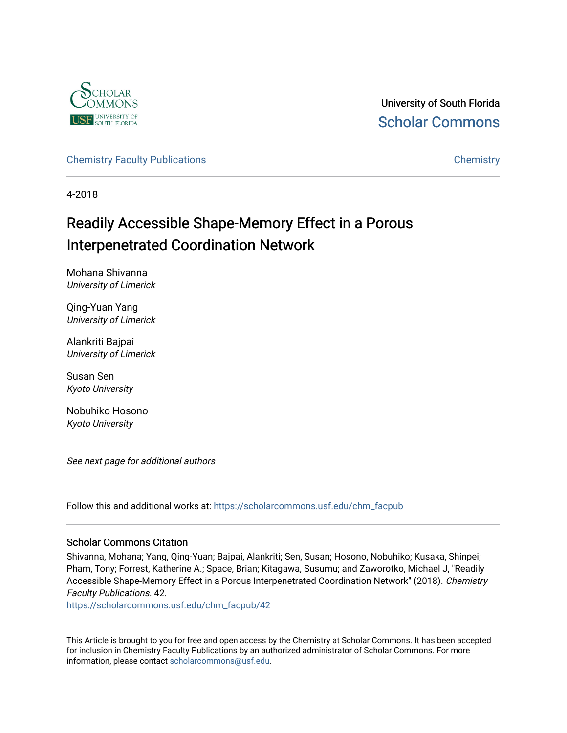

University of South Florida [Scholar Commons](https://scholarcommons.usf.edu/) 

[Chemistry Faculty Publications](https://scholarcommons.usf.edu/chm_facpub) **Chemistry** Chemistry

4-2018

## Readily Accessible Shape-Memory Effect in a Porous Interpenetrated Coordination Network

Mohana Shivanna University of Limerick

Qing-Yuan Yang University of Limerick

Alankriti Bajpai University of Limerick

Susan Sen Kyoto University

Nobuhiko Hosono Kyoto University

See next page for additional authors

Follow this and additional works at: [https://scholarcommons.usf.edu/chm\\_facpub](https://scholarcommons.usf.edu/chm_facpub?utm_source=scholarcommons.usf.edu%2Fchm_facpub%2F42&utm_medium=PDF&utm_campaign=PDFCoverPages) 

#### Scholar Commons Citation

Shivanna, Mohana; Yang, Qing-Yuan; Bajpai, Alankriti; Sen, Susan; Hosono, Nobuhiko; Kusaka, Shinpei; Pham, Tony; Forrest, Katherine A.; Space, Brian; Kitagawa, Susumu; and Zaworotko, Michael J, "Readily Accessible Shape-Memory Effect in a Porous Interpenetrated Coordination Network" (2018). Chemistry Faculty Publications. 42.

[https://scholarcommons.usf.edu/chm\\_facpub/42](https://scholarcommons.usf.edu/chm_facpub/42?utm_source=scholarcommons.usf.edu%2Fchm_facpub%2F42&utm_medium=PDF&utm_campaign=PDFCoverPages)

This Article is brought to you for free and open access by the Chemistry at Scholar Commons. It has been accepted for inclusion in Chemistry Faculty Publications by an authorized administrator of Scholar Commons. For more information, please contact [scholarcommons@usf.edu](mailto:scholarcommons@usf.edu).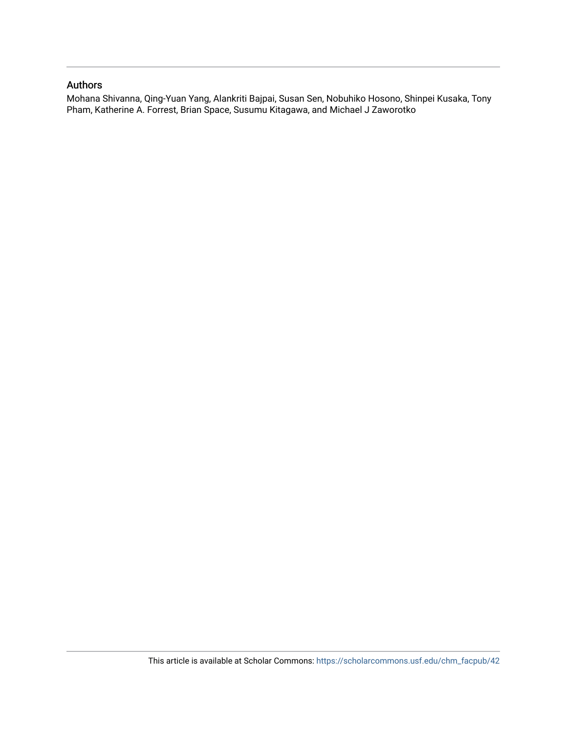#### Authors

Mohana Shivanna, Qing-Yuan Yang, Alankriti Bajpai, Susan Sen, Nobuhiko Hosono, Shinpei Kusaka, Tony Pham, Katherine A. Forrest, Brian Space, Susumu Kitagawa, and Michael J Zaworotko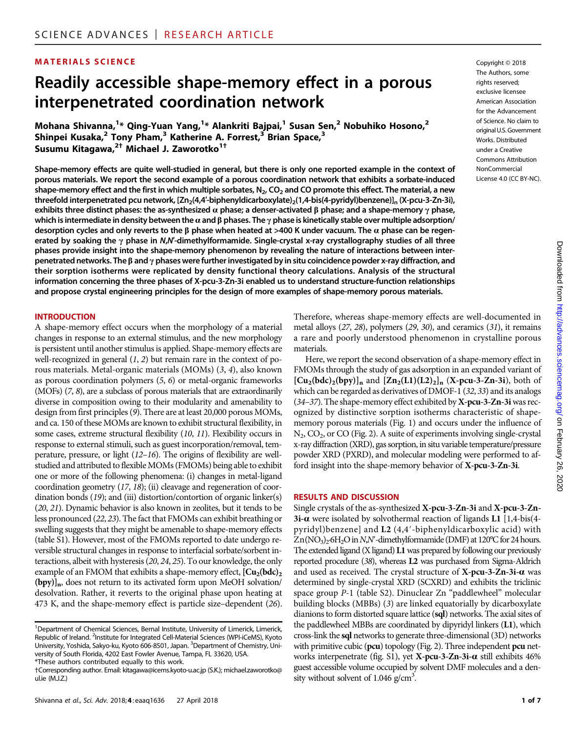#### MATERIALS SCIENCE Copyright © 2018

### Readily accessible shape-memory effect in a porous interpenetrated coordination network

Mohana Shivanna,<sup>1</sup>\* Qing-Yuan Yang,<sup>1</sup>\* Alankriti Bajpai,<sup>1</sup> Susan Sen,<sup>2</sup> Nobuhiko Hosono,<sup>2</sup> Shinpei Kusaka, $2$  Tony Pham, $3$  Katherine A. Forrest, $3$  Brian Space, $3$ Susumu Kitagawa,<sup>2†</sup> Michael J. Zaworotko<sup>1†</sup>

Shape-memory effects are quite well-studied in general, but there is only one reported example in the context of porous materials. We report the second example of a porous coordination network that exhibits a sorbate-induced shape-memory effect and the first in which multiple sorbates,  $N_2$ , CO<sub>2</sub> and CO promote this effect. The material, a new threefold interpenetrated pcu network,  $[Zn_2(4,4'-b)$ iphenyldicarboxylate $)$ <sub>2</sub>(1,4-bis(4-pyridyl)benzene)]<sub>n</sub> (X-pcu-3-Zn-3i), exhibits three distinct phases: the as-synthesized  $\alpha$  phase; a denser-activated  $\beta$  phase; and a shape-memory  $\gamma$  phase, which is intermediate in density between the  $\alpha$  and  $\beta$  phases. The  $\gamma$  phase is kinetically stable over multiple adsorption/ desorption cycles and only reverts to the  $\beta$  phase when heated at >400 K under vacuum. The  $\alpha$  phase can be regenerated by soaking the  $\gamma$  phase in N,N'-dimethylformamide. Single-crystal x-ray crystallography studies of all three phases provide insight into the shape-memory phenomenon by revealing the nature of interactions between interpenetrated networks. The  $\beta$  and  $\gamma$  phases were further investigated by in situ coincidence powder x-ray diffraction, and their sorption isotherms were replicated by density functional theory calculations. Analysis of the structural information concerning the three phases of X-pcu-3-Zn-3i enabled us to understand structure-function relationships and propose crystal engineering principles for the design of more examples of shape-memory porous materials.

#### INTRODUCTION

A shape-memory effect occurs when the morphology of a material changes in response to an external stimulus, and the new morphology is persistent until another stimulus is applied. Shape-memory effects are well-recognized in general  $(1, 2)$  but remain rare in the context of porous materials. Metal-organic materials (MOMs) (3, 4), also known as porous coordination polymers (5, 6) or metal-organic frameworks (MOFs) (7, 8), are a subclass of porous materials that are extraordinarily diverse in composition owing to their modularity and amenability to design from first principles (9). There are at least 20,000 porous MOMs, and ca. 150 of these MOMs are known to exhibit structural flexibility, in some cases, extreme structural flexibility (10, 11). Flexibility occurs in response to external stimuli, such as guest incorporation/removal, temperature, pressure, or light (12–16). The origins of flexibility are wellstudied and attributed to flexible MOMs (FMOMs) being able to exhibit one or more of the following phenomena: (i) changes in metal-ligand coordination geometry (17, 18); (ii) cleavage and regeneration of coordination bonds (19); and (iii) distortion/contortion of organic linker(s) (20, 21). Dynamic behavior is also known in zeolites, but it tends to be less pronounced (22, 23). The fact that FMOMs can exhibit breathing or swelling suggests that they might be amenable to shape-memory effects (table S1). However, most of the FMOMs reported to date undergo reversible structural changes in response to interfacial sorbate/sorbent interactions, albeit with hysteresis (20, 24, 25). To our knowledge, the only example of an FMOM that exhibits a shape-memory effect,  $[Cu<sub>2</sub>(bdc)<sub>2</sub>$ (bpy)]<sub>n</sub>, does not return to its activated form upon MeOH solvation/ desolvation. Rather, it reverts to the original phase upon heating at 473 K, and the shape-memory effect is particle size–dependent (26).

The Authors, some rights reserved; exclusive licensee American Association for the Advancement of Science. No claim to original U.S. Government Works. Distributed under a Creative Commons Attribution NonCommercial License 4.0 (CC BY-NC).

Therefore, whereas shape-memory effects are well-documented in metal alloys (27, 28), polymers (29, 30), and ceramics (31), it remains a rare and poorly understood phenomenon in crystalline porous materials.

Here, we report the second observation of a shape-memory effect in FMOMs through the study of gas adsorption in an expanded variant of  $[Cu<sub>2</sub>(bdc)<sub>2</sub>(bpy)]<sub>n</sub>$  and  $[Zn<sub>2</sub>(L1)(L2)<sub>2</sub>]$ <sub>n</sub> (X-pcu-3-Zn-3i), both of which can be regarded as derivatives of DMOF-1 (32, 33) and its analogs  $(34-37)$ . The shape-memory effect exhibited by X-pcu-3-Zn-3i was recognized by distinctive sorption isotherms characteristic of shapememory porous materials (Fig. 1) and occurs under the influence of N<sub>2</sub>, CO<sub>2</sub>, or CO (Fig. 2). A suite of experiments involving single-crystal x-ray diffraction (XRD), gas sorption, in situ variable temperature/pressure powder XRD (PXRD), and molecular modeling were performed to afford insight into the shape-memory behavior of X-pcu-3-Zn-3i.

#### RESULTS AND DISCUSSION

Single crystals of the as-synthesized X-pcu-3-Zn-3i and X-pcu-3-Zn- $3i-\alpha$  were isolated by solvothermal reaction of ligands L1 [1,4-bis(4pyridyl)benzene] and L2 (4,4′-biphenyldicarboxylic acid) with  $Zn(NO<sub>3</sub>)<sub>2</sub>·6H<sub>2</sub>O$  in N,N'-dimethylformamide (DMF) at 120°C for 24 hours. The extended ligand (X ligand) L1 was prepared by following our previously reported procedure (38), whereas L2 was purchased from Sigma-Aldrich and used as received. The crystal structure of  $X$ -pcu-3-Zn-3i- $\alpha$  was determined by single-crystal XRD (SCXRD) and exhibits the triclinic space group P-1 (table S2). Dinuclear Zn "paddlewheel" molecular building blocks (MBBs) (3) are linked equatorially by dicarboxylate dianions to form distorted square lattice (sql) networks. The axial sites of the paddlewheel MBBs are coordinated by dipyridyl linkers (L1), which cross-link the sql networks to generate three-dimensional (3D) networks with primitive cubic (pcu) topology (Fig. 2). Three independent pcu networks interpenetrate (fig. S1), yet  $X$ -pcu-3-Zn-3i- $\alpha$  still exhibits 46% guest accessible volume occupied by solvent DMF molecules and a density without solvent of  $1.046$  g/cm<sup>3</sup>.

<sup>&</sup>lt;sup>1</sup>Department of Chemical Sciences, Bernal Institute, University of Limerick, Limerick, Republic of Ireland. <sup>2</sup>Institute for Integrated Cell-Material Sciences (WPI-iCeMS), Kyoto University, Yoshida, Sakyo-ku, Kyoto 606-8501, Japan. <sup>3</sup>Department of Chemistry, University of South Florida, 4202 East Fowler Avenue, Tampa, FL 33620, USA.

<sup>\*</sup>These authors contributed equally to this work.

<sup>†</sup>Corresponding author. Email: kitagawa@icems.kyoto-u.ac.jp (S.K.); michael.zaworotko@ ul.ie (M.J.Z.)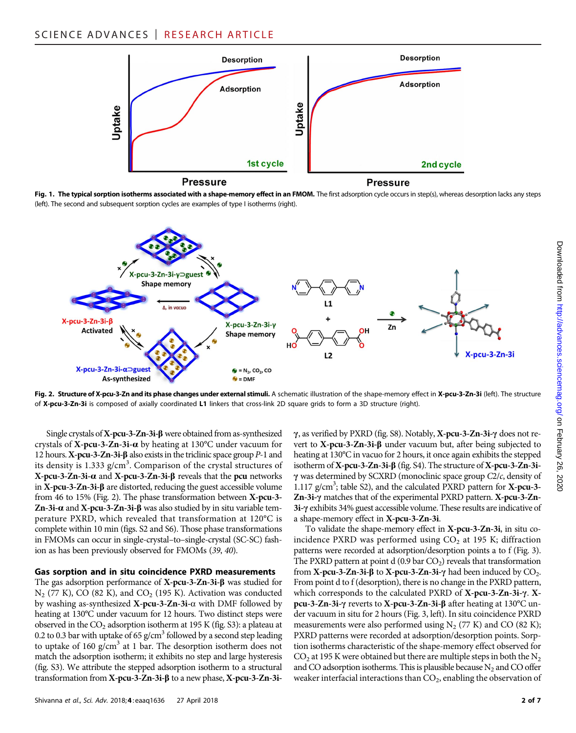#### SCIENCE ADVANCES | RESEARCH ARTICLE



Fig. 1. The typical sorption isotherms associated with a shape-memory effect in an FMOM. The first adsorption cycle occurs in step(s), whereas desorption lacks any steps (left). The second and subsequent sorption cycles are examples of type I isotherms (right).



Fig. 2. Structure of X-pcu-3-Zn and its phase changes under external stimuli. A schematic illustration of the shape-memory effect in X-pcu-3-Zn-3i (left). The structure of X-pcu-3-Zn-3i is composed of axially coordinated L1 linkers that cross-link 2D square grids to form a 3D structure (right).

Single crystals of X-pcu-3-Zn-3i- $\beta$  were obtained from as-synthesized crystals of  $X$ -pcu-3-Zn-3i- $\alpha$  by heating at 130°C under vacuum for 12 hours.  $X$ -pcu-3-Zn-3i- $\beta$  also exists in the triclinic space group  $P-1$  and its density is 1.333 g/cm<sup>3</sup>. Comparison of the crystal structures of  $X$ -pcu-3-Zn-3i- $\alpha$  and  $X$ -pcu-3-Zn-3i- $\beta$  reveals that the pcu networks in  $X$ -pcu-3-Zn-3i- $\beta$  are distorted, reducing the guest accessible volume from 46 to 15% (Fig. 2). The phase transformation between X-pcu-3- Zn-3i- $\alpha$  and X-pcu-3-Zn-3i- $\beta$  was also studied by in situ variable temperature PXRD, which revealed that transformation at 120°C is complete within 10 min (figs. S2 and S6). Those phase transformations in FMOMs can occur in single-crystal–to–single-crystal (SC-SC) fashion as has been previously observed for FMOMs (39, 40).

#### Gas sorption and in situ coincidence PXRD measurements

The gas adsorption performance of  $X$ -pcu-3-Zn-3i- $\beta$  was studied for  $N_2$  (77 K), CO (82 K), and CO<sub>2</sub> (195 K). Activation was conducted by washing as-synthesized X-pcu-3-Zn-3i- $\alpha$  with DMF followed by heating at 130°C under vacuum for 12 hours. Two distinct steps were observed in the  $CO_2$  adsorption isotherm at 195 K (fig. S3): a plateau at 0.2 to 0.3 bar with uptake of 65  $g/cm<sup>3</sup>$  followed by a second step leading to uptake of 160 g/cm<sup>3</sup> at 1 bar. The desorption isotherm does not match the adsorption isotherm; it exhibits no step and large hysteresis (fig. S3). We attribute the stepped adsorption isotherm to a structural transformation from X-pcu-3-Zn-3i-b to a new phase, X-pcu-3-Zn-3i $\gamma$ , as verified by PXRD (fig. S8). Notably, **X-pcu-3-Zn-3i-** $\gamma$  does not revert to  $X$ -pcu-3-Zn-3i- $\beta$  under vacuum but, after being subjected to heating at 130°C in vacuo for 2 hours, it once again exhibits the stepped isotherm of X-pcu-3-Zn-3i- $\beta$  (fig. S4). The structure of X-pcu-3-Zn-3i- $\gamma$  was determined by SCXRD (monoclinic space group C2/c, density of 1.117 g/cm<sup>3</sup>; table S2), and the calculated PXRD pattern for X-pcu-3-Zn-3i- $\gamma$  matches that of the experimental PXRD pattern. X-pcu-3-Zn-3i-g exhibits 34% guest accessible volume. These results are indicative of a shape-memory effect in X-pcu-3-Zn-3i.

To validate the shape-memory effect in X-pcu-3-Zn-3i, in situ coincidence PXRD was performed using  $CO<sub>2</sub>$  at 195 K; diffraction patterns were recorded at adsorption/desorption points a to f (Fig. 3). The PXRD pattern at point  $d(0.9 \text{ bar } CO<sub>2</sub>)$  reveals that transformation from **X-pcu-3-Zn-3i-** $\beta$  to **X-pcu-3-Zn-3i-** $\gamma$  had been induced by CO<sub>2</sub>. From point d to f (desorption), there is no change in the PXRD pattern, which corresponds to the calculated PXRD of  $X$ -pcu-3-Zn-3i- $\gamma$ .  $X$ pcu-3-Zn-3i-g reverts to X-pcu-3-Zn-3i-b after heating at 130°C under vacuum in situ for 2 hours (Fig. 3, left). In situ coincidence PXRD measurements were also performed using  $N_2$  (77 K) and CO (82 K); PXRD patterns were recorded at adsorption/desorption points. Sorption isotherms characteristic of the shape-memory effect observed for  $CO<sub>2</sub>$  at 195 K were obtained but there are multiple steps in both the N<sub>2</sub> and CO adsorption isotherms. This is plausible because  $N_2$  and CO offer weaker interfacial interactions than  $CO<sub>2</sub>$ , enabling the observation of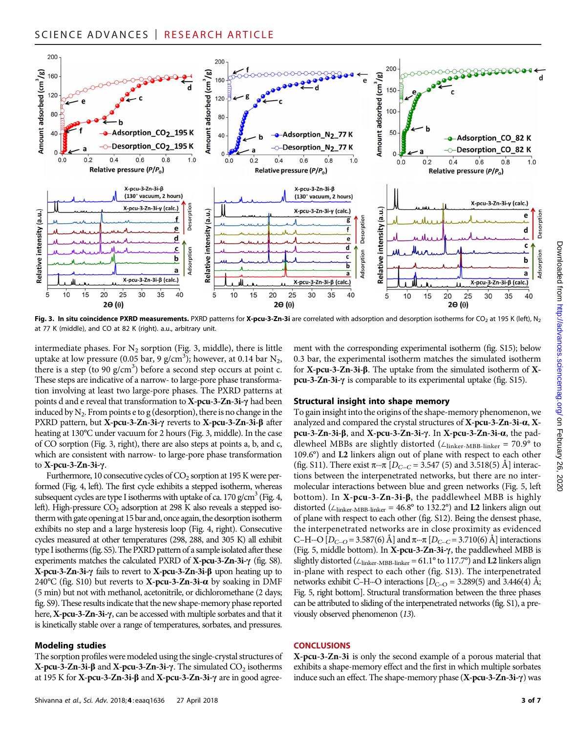

Fig. 3. In situ coincidence PXRD measurements. PXRD patterns for X-pcu-3-Zn-3i are correlated with adsorption and desorption isotherms for CO<sub>2</sub> at 195 K (left), N<sub>2</sub> at 77 K (middle), and CO at 82 K (right). a.u., arbitrary unit.

intermediate phases. For  $N_2$  sorption (Fig. 3, middle), there is little uptake at low pressure (0.05 bar, 9 g/cm<sup>3</sup>); however, at 0.14 bar N<sub>2</sub>, there is a step (to 90  $g/cm<sup>3</sup>$ ) before a second step occurs at point c. These steps are indicative of a narrow- to large-pore phase transformation involving at least two large-pore phases. The PXRD patterns at points d and e reveal that transformation to  $X$ -pcu-3-Zn-3i- $\gamma$  had been induced by  $N_2$ . From points e to g (desorption), there is no change in the PXRD pattern, but X-pcu-3-Zn-3i- $\gamma$  reverts to X-pcu-3-Zn-3i- $\beta$  after heating at 130°C under vacuum for 2 hours (Fig. 3, middle). In the case of CO sorption (Fig. 3, right), there are also steps at points a, b, and c, which are consistent with narrow- to large-pore phase transformation to  $X$ -pcu-3-Zn-3i- $\gamma$ .

Furthermore, 10 consecutive cycles of  $CO<sub>2</sub>$  sorption at 195 K were performed (Fig. 4, left). The first cycle exhibits a stepped isotherm, whereas subsequent cycles are type I isotherms with uptake of ca. 170 g/cm<sup>3</sup> (Fig. 4, left). High-pressure  $CO<sub>2</sub>$  adsorption at 298 K also reveals a stepped isotherm with gate opening at 15 bar and, once again, the desorption isotherm exhibits no step and a large hysteresis loop (Fig. 4, right). Consecutive cycles measured at other temperatures (298, 288, and 305 K) all exhibit type I isotherms (fig. S5). The PXRD pattern of a sample isolated after these experiments matches the calculated PXRD of  $X$ -pcu-3-Zn-3i- $\gamma$  (fig. S8).  $X$ -pcu-3-Zn-3i- $\gamma$  fails to revert to  $X$ -pcu-3-Zn-3i- $\beta$  upon heating up to 240°C (fig. S10) but reverts to X-pcu-3-Zn-3i- $\alpha$  by soaking in DMF (5 min) but not with methanol, acetonitrile, or dichloromethane (2 days; fig. S9). These results indicate that the new shape-memory phase reported here, X-pcu-3-Zn-3i- $\gamma$ , can be accessed with multiple sorbates and that it is kinetically stable over a range of temperatures, sorbates, and pressures.

#### Modeling studies

The sorption profiles were modeled using the single-crystal structures of  $X$ -pcu-3-Zn-3i- $\beta$  and  $X$ -pcu-3-Zn-3i- $\gamma$ . The simulated  $CO_2$  isotherms at 195 K for  $X$ -pcu-3-Zn-3i- $\beta$  and  $X$ -pcu-3-Zn-3i- $\gamma$  are in good agreement with the corresponding experimental isotherm (fig. S15); below 0.3 bar, the experimental isotherm matches the simulated isotherm for  $X$ -pcu-3-Zn-3i- $\beta$ . The uptake from the simulated isotherm of  $X$  $pcu-3-Zn-3i-\gamma$  is comparable to its experimental uptake (fig. S15).

#### Structural insight into shape memory

To gain insight into the origins of the shape-memory phenomenon, we analyzed and compared the crystal structures of X-pcu-3-Zn-3i-a, Xpcu-3-Zn-3i-b, and X-pcu-3-Zn-3i-g. In X-pcu-3-Zn-3i-a, the paddlewheel MBBs are slightly distorted (∠linker-MBB-linker = 70.9° to 109.6°) and L2 linkers align out of plane with respect to each other (fig. S11). There exist  $\pi \cdot \pi$  [D<sub>C</sub><sub>···</sub>c = 3.547 (5) and 3.518(5) Å] interactions between the interpenetrated networks, but there are no intermolecular interactions between blue and green networks (Fig. 5, left bottom). In  $X$ -pcu-3-Zn-3i- $\beta$ , the paddlewheel MBB is highly distorted ( $\angle$ <sub>linker-MBB-linker</sub> = 46.8° to 132.2°) and **L2** linkers align out of plane with respect to each other (fig. S12). Being the densest phase, the interpenetrated networks are in close proximity as evidenced C–H…O  $[D_{C\cdots O} = 3.587(6)$  Å] and  $\pi \cdots \pi$   $[D_{C\cdots C} = 3.710(6)$  Å] interactions (Fig. 5, middle bottom). In X-pcu-3-Zn-3i- $\gamma$ , the paddlewheel MBB is slightly distorted ( $\angle$ <sub>linker-MBB-linker</sub> = 61.1° to 117.7°) and **L2** linkers align in-plane with respect to each other (fig. S13). The interpenetrated networks exhibit C–H—O interactions  $[D_{C\to O} = 3.289(5)$  and 3.446(4) Å; Fig. 5, right bottom]. Structural transformation between the three phases can be attributed to sliding of the interpenetrated networks (fig. S1), a previously observed phenomenon (13).

#### **CONCLUSIONS**

X-pcu-3-Zn-3i is only the second example of a porous material that exhibits a shape-memory effect and the first in which multiple sorbates induce such an effect. The shape-memory phase  $(X-pcu-3-Zn-3i-\gamma)$  was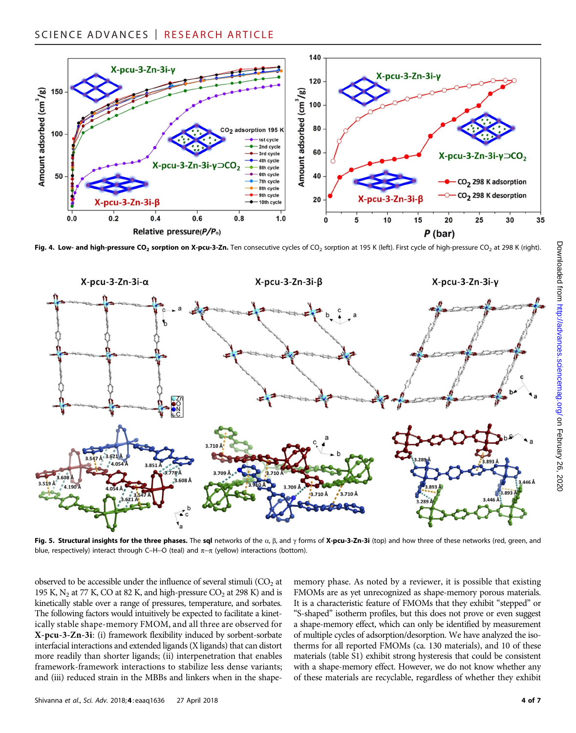

Fig. 4. Low- and high-pressure CO<sub>2</sub> sorption on X-pcu-3-Zn. Ten consecutive cycles of CO<sub>2</sub> sorption at 195 K (left). First cycle of high-pressure CO<sub>2</sub> at 298 K (right).



Fig. 5. Structural insights for the three phases. The sql networks of the  $\alpha$ ,  $\beta$ , and  $\gamma$  forms of X-pcu-3-Zn-3i (top) and how three of these networks (red, green, and blue, respectively) interact through C–H<sup>...</sup>O (teal) and  $\pi$ <sup>...</sup> $\pi$  (yellow) interactions (bottom).

observed to be accessible under the influence of several stimuli  $(CO<sub>2</sub>)$  at 195 K,  $N_2$  at 77 K, CO at 82 K, and high-pressure  $CO_2$  at 298 K) and is kinetically stable over a range of pressures, temperature, and sorbates. The following factors would intuitively be expected to facilitate a kinetically stable shape-memory FMOM, and all three are observed for X-pcu-3-Zn-3i: (i) framework flexibility induced by sorbent-sorbate interfacial interactions and extended ligands (X ligands) that can distort more readily than shorter ligands; (ii) interpenetration that enables framework-framework interactions to stabilize less dense variants; and (iii) reduced strain in the MBBs and linkers when in the shapememory phase. As noted by a reviewer, it is possible that existing FMOMs are as yet unrecognized as shape-memory porous materials. It is a characteristic feature of FMOMs that they exhibit "stepped" or "S-shaped" isotherm profiles, but this does not prove or even suggest a shape-memory effect, which can only be identified by measurement of multiple cycles of adsorption/desorption. We have analyzed the isotherms for all reported FMOMs (ca. 130 materials), and 10 of these materials (table S1) exhibit strong hysteresis that could be consistent with a shape-memory effect. However, we do not know whether any of these materials are recyclable, regardless of whether they exhibit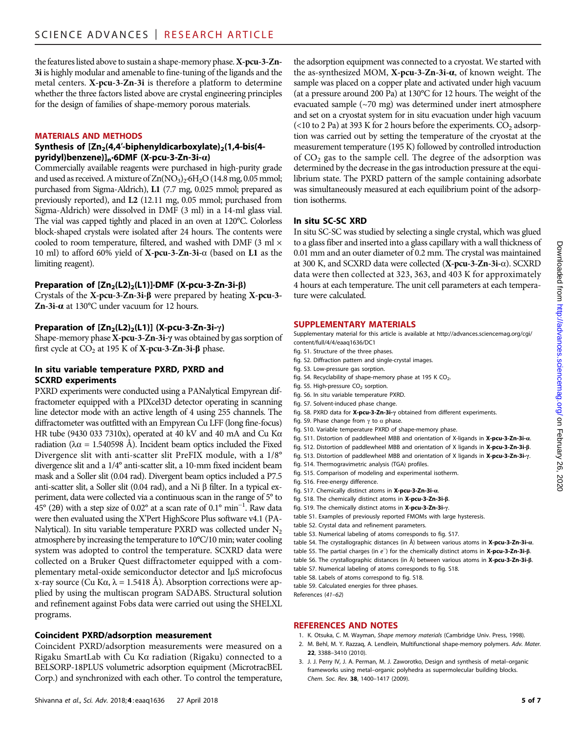the features listed above to sustain a shape-memory phase. X-pcu-3-Zn-3i is highly modular and amenable to fine-tuning of the ligands and the metal centers. X-pcu-3-Zn-3i is therefore a platform to determine whether the three factors listed above are crystal engineering principles for the design of families of shape-memory porous materials.

#### MATERIALS AND METHODS

#### Synthesis of  $[Zn_2(4,4'-biphenyldicarboxylate)_2(1,4-bis(4-))$ pyridyl)benzene)] $n$ ·6DMF (X-pcu-3-Zn-3i- $\alpha$ )

Commercially available reagents were purchased in high-purity grade and used as received. A mixture of  $Zn(NO<sub>3</sub>)<sub>2</sub>·6H<sub>2</sub>O$  (14.8 mg, 0.05 mmol; purchased from Sigma-Aldrich), L1 (7.7 mg, 0.025 mmol; prepared as previously reported), and L2 (12.11 mg, 0.05 mmol; purchased from Sigma-Aldrich) were dissolved in DMF (3 ml) in a 14-ml glass vial. The vial was capped tightly and placed in an oven at 120°C. Colorless block-shaped crystals were isolated after 24 hours. The contents were cooled to room temperature, filtered, and washed with DMF (3 ml  $\times$ 10 ml) to afford 60% yield of  $X$ -pcu-3-Zn-3i- $\alpha$  (based on L1 as the limiting reagent).

#### Preparation of  $[Zn_2(L2)_2(L1)]$ ·DMF (X-pcu-3-Zn-3i- $\beta$ )

Crystals of the  $X$ -pcu-3-Zn-3i- $\beta$  were prepared by heating  $X$ -pcu-3-Zn-3i- $\alpha$  at 130°C under vacuum for 12 hours.

#### Preparation of  $[Zn_2(L2)_2(L1)]$  (X-pcu-3-Zn-3i- $\gamma$ )

Shape-memory phase X-pcu-3-Zn-3i- $\gamma$  was obtained by gas sorption of first cycle at  $CO_2$  at 195 K of **X-pcu-3-Zn-3i-β** phase.

#### In situ variable temperature PXRD, PXRD and SCXRD experiments

PXRD experiments were conducted using a PANalytical Empyrean diffractometer equipped with a PIXcel3D detector operating in scanning line detector mode with an active length of 4 using 255 channels. The diffractometer was outfitted with an Empyrean Cu LFF (long fine-focus) HR tube (9430 033 7310x), operated at 40 kV and 40 mA and Cu Ka radiation ( $\lambda \alpha$  = 1.540598 Å). Incident beam optics included the Fixed Divergence slit with anti-scatter slit PreFIX module, with a 1/8° divergence slit and a 1/4° anti-scatter slit, a 10-mm fixed incident beam mask and a Soller slit (0.04 rad). Divergent beam optics included a P7.5 anti-scatter slit, a Soller slit (0.04 rad), and a Ni  $\beta$  filter. In a typical experiment, data were collected via a continuous scan in the range of 5° to  $^{45^{\circ}}$  (20) with a step size of 0.02° at a scan rate of 0.1° min<sup>-1</sup>. Raw data<br>were then evaluated using the X'Pert HighScore Plus software v4.1 (PAwere then evaluated using the X'Pert HighScore Plus software v4.1 (PA-Nalytical). In situ variable temperature PXRD was collected under  $N_2$ atmosphere by increasing the temperature to 10°C/10 min; water cooling system was adopted to control the temperature. SCXRD data were collected on a Bruker Quest diffractometer equipped with a complementary metal-oxide semiconductor detector and IµS microfocus x-ray source (Cu Ka,  $\lambda = 1.5418$  Å). Absorption corrections were applied by using the multiscan program SADABS. Structural solution and refinement against Fobs data were carried out using the SHELXL programs.

#### Coincident PXRD/adsorption measurement

Coincident PXRD/adsorption measurements were measured on a Rigaku SmartLab with Cu Ka radiation (Rigaku) connected to a BELSORP-18PLUS volumetric adsorption equipment (MicrotracBEL Corp.) and synchronized with each other. To control the temperature,

the adsorption equipment was connected to a cryostat. We started with the as-synthesized MOM, X-pcu-3-Zn-3i-a, of known weight. The sample was placed on a copper plate and activated under high vacuum (at a pressure around 200 Pa) at 130°C for 12 hours. The weight of the evacuated sample (~70 mg) was determined under inert atmosphere and set on a cryostat system for in situ evacuation under high vacuum (<10 to 2 Pa) at 393 K for 2 hours before the experiments.  $CO<sub>2</sub>$  adsorption was carried out by setting the temperature of the cryostat at the measurement temperature (195 K) followed by controlled introduction of  $CO<sub>2</sub>$  gas to the sample cell. The degree of the adsorption was determined by the decrease in the gas introduction pressure at the equilibrium state. The PXRD pattern of the sample containing adsorbate was simultaneously measured at each equilibrium point of the adsorption isotherms.

#### In situ SC-SC XRD

In situ SC-SC was studied by selecting a single crystal, which was glued to a glass fiber and inserted into a glass capillary with a wall thickness of 0.01 mm and an outer diameter of 0.2 mm. The crystal was maintained at 300 K, and SCXRD data were collected  $(X-pcu-3-Zn-3i-\alpha)$ . SCXRD data were then collected at 323, 363, and 403 K for approximately 4 hours at each temperature. The unit cell parameters at each temperature were calculated.

#### SUPPLEMENTARY MATERIALS

Supplementary material for this article is available at [http://advances.sciencemag.org/cgi/](http://advances.sciencemag.org/cgi/content/full/4/4/eaaq1636/DC1) [content/full/4/4/eaaq1636/DC1](http://advances.sciencemag.org/cgi/content/full/4/4/eaaq1636/DC1)

- fig. S1. Structure of the three phases.
- fig. S2. Diffraction pattern and single-crystal images.
- fig. S3. Low-pressure gas sorption.
- fig. S4. Recyclability of shape-memory phase at 195 K  $CO<sub>2</sub>$ .
- fig. S5. High-pressure  $CO<sub>2</sub>$  sorption.
- fig. S6. In situ variable temperature PXRD.
- fig. S7. Solvent-induced phase change.
- fig. S8. PXRD data for X-pcu-3-Zn-3i- $\gamma$  obtained from different experiments.
- fig. S9. Phase change from  $\gamma$  to  $\alpha$  phase.
- fig. S10. Variable temperature PXRD of shape-memory phase.
- fig. S11. Distortion of paddlewheel MBB and orientation of X-ligands in X-pcu-3-Zn-3i-a.
- fig. S12. Distortion of paddlewheel MBB and orientation of X ligands in X-pcu-3-Zn-3i-ß.
- fig. S13. Distortion of paddlewheel MBB and orientation of X ligands in X-pcu-3-Zn-3i- $\gamma$ .
- fig. S14. Thermogravimetric analysis (TGA) profiles.
- fig. S15. Comparison of modeling and experimental isotherm.
- fig. S16. Free-energy difference.
- fig. S17. Chemically distinct atoms in X-pcu-3-Zn-3i-a.
- fig. S18. The chemically distinct atoms in X-pcu-3-Zn-3i-b.
- fig. S19. The chemically distinct atoms in X-pcu-3-Zn-3i- $\gamma$ . table S1. Examples of previously reported FMOMs with large hysteresis.
- 
- table S2. Crystal data and refinement parameters.
- table S3. Numerical labeling of atoms corresponds to fig. S17.
- table S4. The crystallographic distances (in Å) between various atoms in  $X$ -pcu-3-Zn-3i- $\alpha$ .
- table S5. The partial charges (in e<sup>−</sup>) for the chemically distinct atoms in **X-pcu-3-Zn-3i-β.**<br>Apple S6. The currentle avenue distances (in <sup>8</sup>) between verticus atoms in **X-pcu-2. Zn 2i-0**
- table S6. The crystallographic distances (in Å) between various atoms in X-pcu-3-Zn-3i-ß. table S7. Numerical labeling of atoms corresponds to fig. S18.
- table S8. Labels of atoms correspond to fig. S18.
- table S9. Calculated energies for three phases.
- 

#### REFERENCES AND NOTES

- 1. K. Otsuka, C. M. Wayman, Shape memory materials (Cambridge Univ. Press, 1998).
- 2. M. Behl, M. Y. Razzaq, A. Lendlein, Multifunctional shape-memory polymers. Adv. Mater. 22, 3388–3410 (2010).
- 3. J. J. Perry IV, J. A. Perman, M. J. Zaworotko, Design and synthesis of metal–organic frameworks using metal–organic polyhedra as supermolecular building blocks. Chem. Soc. Rev. 38, 1400–1417 (2009).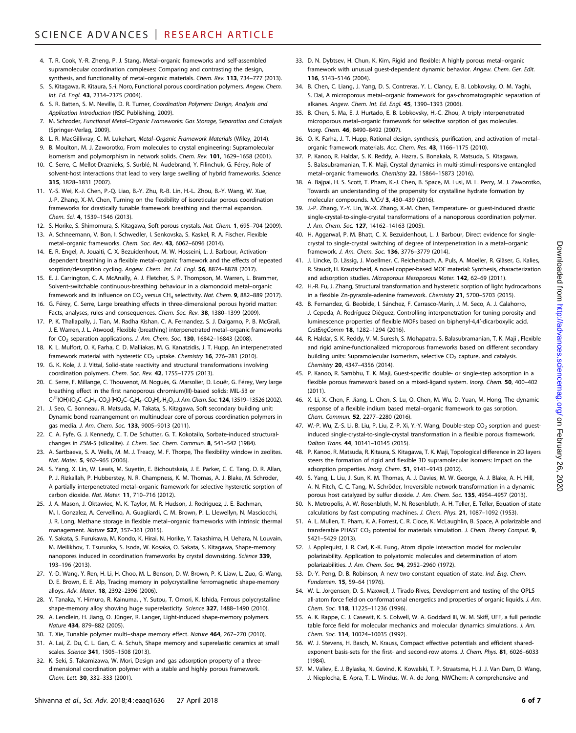- 4. T. R. Cook, Y.-R. Zheng, P. J. Stang, Metal–organic frameworks and self-assembled supramolecular coordination complexes: Comparing and contrasting the design, synthesis, and functionality of metal–organic materials. Chem. Rev. 113, 734–777 (2013).
- 5. S. Kitagawa, R. Kitaura, S.-i. Noro, Functional porous coordination polymers. Angew. Chem. Int. Ed. Engl. 43, 2334–2375 (2004).
- 6. S. R. Batten, S. M. Neville, D. R. Turner, Coordination Polymers: Design, Analysis and Application Introduction (RSC Publishing, 2009).
- 7. M. Schroder, Functional Metal–Organic Frameworks: Gas Storage, Separation and Catalysis (Springer-Verlag, 2009).
- 8. L. R. MacGillivray, C. M. Lukehart, Metal-Organic Framework Materials (Wiley, 2014).
- 9. B. Moulton, M. J. Zaworotko, From molecules to crystal engineering: Supramolecular isomerism and polymorphism in network solids. Chem. Rev. 101, 1629-1658 (2001).
- 10. C. Serre, C. Mellot-Draznieks, S. Surblé, N. Audebrand, Y. Filinchuk, G. Férey, Role of solvent-host interactions that lead to very large swelling of hybrid frameworks. Science 315, 1828–1831 (2007).
- 11. Y.-S. Wei, K.-J. Chen, P.-Q. Liao, B.-Y. Zhu, R.-B. Lin, H.-L. Zhou, B.-Y. Wang, W. Xue, J.-P. Zhang, X.-M. Chen, Turning on the flexibility of isoreticular porous coordination frameworks for drastically tunable framework breathing and thermal expansion. Chem. Sci. 4, 1539–1546 (2013).
- 12. S. Horike, S. Shimomura, S. Kitagawa, Soft porous crystals. Nat. Chem. 1, 695–704 (2009).
- 13. A. Schneemann, V. Bon, I. Schwedler, I. Senkovska, S. Kaskel, R. A. Fischer, Flexible metal–organic frameworks. Chem. Soc. Rev. 43, 6062–6096 (2014).
- 14. E. R. Engel, A. Jouaiti, C. X. Bezuidenhout, M. W. Hosseini, L. J. Barbour, Activationdependent breathing in a flexible metal–organic framework and the effects of repeated sorption/desorption cycling. Angew. Chem. Int. Ed. Engl. 56, 8874-8878 (2017).
- 15. E. J. Carrington, C. A. McAnally, A. J. Fletcher, S. P. Thompson, M. Warren, L. Brammer, Solvent-switchable continuous-breathing behaviour in a diamondoid metal–organic framework and its influence on  $CO_2$  versus CH<sub>4</sub> selectivity. Nat. Chem. 9, 882-889 (2017).
- 16. G. Férey, C. Serre, Large breathing effects in three-dimensional porous hybrid matter: Facts, analyses, rules and consequences. Chem. Soc. Rev. 38, 1380-1399 (2009).
- 17. P. K. Thallapally, J. Tian, M. Radha Kishan, C. A. Fernandez, S. J. Dalgarno, P. B. McGrail, J. E. Warren, J. L. Atwood, Flexible (breathing) interpenetrated metal–organic frameworks for  $CO<sub>2</sub>$  separation applications. J. Am. Chem. Soc. 130, 16842-16843 (2008).
- 18. K. L. Mulfort, O. K. Farha, C. D. Malliakas, M. G. Kanatzidis, J. T. Hupp, An interpenetrated framework material with hysteretic  $CO<sub>2</sub>$  uptake. Chemistry 16, 276-281 (2010).
- 19. G. K. Kole, J. J. Vittal, Solid-state reactivity and structural transformations involving coordination polymers. Chem. Soc. Rev. 42, 1755–1775 (2013).
- 20. C. Serre, F. Millange, C. Thouvenot, M. Noguès, G. Marsolier, D. Louër, G. Férey, Very large breathing effect in the first nanoporous chromium(III)-based solids: MIL-53 or  $Cr^{III}(OH)$ ·{O<sub>2</sub>C–C<sub>6</sub>H<sub>4</sub>–CO<sub>2</sub>}·{HO<sub>2</sub>C–C<sub>6</sub>H<sub>4</sub>–CO<sub>2</sub>H}<sub>x</sub>·H<sub>2</sub>O<sub>y</sub>. J. Am. Chem. Soc. **124**, 13519–13526 (2002).
- 21. J. Seo, C. Bonneau, R. Matsuda, M. Takata, S. Kitagawa, Soft secondary building unit: Dynamic bond rearrangement on multinuclear core of porous coordination polymers in gas media. J. Am. Chem. Soc. 133, 9005–9013 (2011).
- 22. C. A. Fyfe, G. J. Kennedy, C. T. De Schutter, G. T. Kokotailo, Sorbate-induced structuralchanges in ZSM-5 (silicalite). J. Chem. Soc. Chem. Commun. 8, 541–542 (1984).
- 23. A. Sartbaeva, S. A. Wells, M. M. J. Treacy, M. F. Thorpe, The flexibility window in zeolites. Nat. Mater. 5, 962–965 (2006).
- 24. S. Yang, X. Lin, W. Lewis, M. Suyetin, E. Bichoutskaia, J. E. Parker, C. C. Tang, D. R. Allan, P. J. Rizkallah, P. Hubberstey, N. R. Champness, K. M. Thomas, A. J. Blake, M. Schröder, A partially interpenetrated metal–organic framework for selective hysteretic sorption of carbon dioxide. Nat. Mater. 11, 710–716 (2012).
- 25. J. A. Mason, J. Oktawiec, M. K. Taylor, M. R. Hudson, J. Rodriguez, J. E. Bachman, M. I. Gonzalez, A. Cervellino, A. Guagliardi, C. M. Brown, P. L. Llewellyn, N. Masciocchi, J. R. Long, Methane storage in flexible metal–organic frameworks with intrinsic thermal management. Nature 527, 357–361 (2015).
- 26. Y. Sakata, S. Furukawa, M. Kondo, K. Hirai, N. Horike, Y. Takashima, H. Uehara, N. Louvain, M. Meilikhov, T. Tsuruoka, S. Isoda, W. Kosaka, O. Sakata, S. Kitagawa, Shape-memory nanopores induced in coordination frameworks by crystal downsizing. Science 339, 193–196 (2013).
- 27. Y.-D. Wang, Y. Ren, H. Li, H. Choo, M. L. Benson, D. W. Brown, P. K. Liaw, L. Zuo, G. Wang, D. E. Brown, E. E. Alp, Tracing memory in polycrystalline ferromagnetic shape-memory alloys. Adv. Mater. 18, 2392–2396 (2006).
- 28. Y. Tanaka, Y. Himuro, R. Kainuma, , Y. Sutou, T. Omori, K. Ishida, Ferrous polycrystalline shape-memory alloy showing huge superelasticity. Science 327, 1488-1490 (2010).
- 29. A. Lendlein, H. Jiang, O. Jünger, R. Langer, Light-induced shape-memory polymers. Nature 434, 879–882 (2005).
- 30. T. Xie, Tunable polymer multi-shape memory effect. Nature 464, 267-270 (2010).
- 31. A. Lai, Z. Du, C. L. Gan, C. A. Schuh, Shape memory and superelastic ceramics at small scales. Science 341, 1505–1508 (2013).
- 32. K. Seki, S. Takamizawa, W. Mori, Design and gas adsorption property of a threedimensional coordination polymer with a stable and highly porous framework. Chem. Lett. 30, 332–333 (2001).
- 33. D. N. Dybtsev, H. Chun, K. Kim, Rigid and flexible: A highly porous metal–organic framework with unusual guest-dependent dynamic behavior. Angew. Chem. Ger. Edit. 116, 5143–5146 (2004).
- 34. B. Chen, C. Liang, J. Yang, D. S. Contreras, Y. L. Clancy, E. B. Lobkovsky, O. M. Yaghi, S. Dai, A microporous metal–organic framework for gas-chromatographic separation of alkanes. Angew. Chem. Int. Ed. Engl. 45, 1390–1393 (2006).
- 35. B. Chen, S. Ma, E. J. Hurtado, E. B. Lobkovsky, H.-C. Zhou, A triply interpenetrated microporous metal–organic framework for selective sorption of gas molecules. Inorg. Chem. 46, 8490–8492 (2007).
- 36. O. K. Farha, J. T. Hupp, Rational design, synthesis, purification, and activation of metal– organic framework materials. Acc. Chem. Res. 43, 1166–1175 (2010).
- 37. P. Kanoo, R. Haldar, S. K. Reddy, A. Hazra, S. Bonakala, R. Matsuda, S. Kitagawa, S. Balasubramanian, T. K. Maji, Crystal dynamics in multi-stimuli-responsive entangled metal–organic frameworks. Chemistry 22, 15864–15873 (2016).
- 38. A. Bajpai, H. S. Scott, T. Pham, K.-J. Chen, B. Space, M. Lusi, M. L. Perry, M. J. Zaworotko, Towards an understanding of the propensity for crystalline hydrate formation by molecular compounds. IUCrJ 3, 430–439 (2016).
- 39. J.-P. Zhang, Y.-Y. Lin, W.-X. Zhang, X.-M. Chen, Temperature- or guest-induced drastic single-crystal-to-single-crystal transformations of a nanoporous coordination polymer. J. Am. Chem. Soc. 127, 14162–14163 (2005).
- 40. H. Aggarwal, P. M. Bhatt, C. X. Bezuidenhout, L. J. Barbour, Direct evidence for singlecrystal to single-crystal switching of degree of interpenetration in a metal–organic framework. J. Am. Chem. Soc. 136, 3776–3779 (2014).
- 41. J. Lincke, D. Lässig, J. Moellmer, C. Reichenbach, A. Puls, A. Moeller, R. Gläser, G. Kalies, R. Staudt, H. Krautscheid, A novel copper-based MOF material: Synthesis, characterization and adsorption studies. Microporous Mesoporous Mater. 142, 62-69 (2011).
- 42. H.-R. Fu, J. Zhang, Structural transformation and hysteretic sorption of light hydrocarbons in a flexible Zn-pyrazole-adenine framework. Chemistry 21, 5700–5703 (2015).
- 43. B. Fernandez, G. Beobide, I. Sánchez, F. Carrasco-Marín, J. M. Seco, A. J. Calahorro, J. Cepeda, A. Rodríguez-Diéguez, Controlling interpenetration for tuning porosity and luminescence properties of flexible MOFs based on biphenyl-4,4′-dicarboxylic acid. CrstEngComm 18, 1282–1294 (2016).
- 44. R. Haldar, S. K. Reddy, V. M. Suresh, S. Mohapatra, S. Balasubramanian, T. K. Maji , Flexible and rigid amine-functionalized microporous frameworks based on different secondary building units: Supramolecular isomerism, selective  $CO<sub>2</sub>$  capture, and catalysis. Chemistry 20, 4347–4356 (2014).
- 45. P. Kanoo, R. Sambhu, T. K. Maji, Guest-specific double- or single-step adsorption in a flexible porous framework based on a mixed-ligand system. Inorg. Chem. 50, 400–402 (2011).
- 46. X. Li, X. Chen, F. Jiang, L. Chen, S. Lu, Q. Chen, M. Wu, D. Yuan, M. Hong, The dynamic response of a flexible indium based metal–organic framework to gas sorption. Chem. Commun. 52, 2277–2280 (2016).
- 47. W.-P. Wu, Z.-S. Li, B. Liu, P. Liu, Z.-P. Xi, Y.-Y. Wang, Double-step CO<sub>2</sub> sorption and questinduced single-crystal-to-single-crystal transformation in a flexible porous framework. Dalton Trans. 44, 10141–10145 (2015).
- 48. P. Kanoo, R. Matsuda, R. Kitaura, S. Kitagawa, T. K. Maji, Topological difference in 2D layers steers the formation of rigid and flexible 3D supramolecular isomers: Impact on the adsorption properties. Inorg. Chem. 51, 9141-9143 (2012).
- 49. S. Yang, L. Liu, J. Sun, K. M. Thomas, A. J. Davies, M. W. George, A. J. Blake, A. H. Hill, A. N. Fitch, C. C. Tang, M. Schröder, Irreversible network transformation in a dynamic porous host catalyzed by sulfur dioxide. J. Am. Chem. Soc. 135, 4954-4957 (2013).
- 50. N. Metropolis, A. W. Rosenbluth, M. N. Rosenbluth, A. H. Teller, E. Teller, Equation of state calculations by fast computing machines. J. Chem. Phys. 21, 1087–1092 (1953).
- 51. A. L. Mullen, T. Pham, K. A. Forrest, C. R. Cioce, K. McLaughlin, B. Space, A polarizable and transferable PHAST  $CO<sub>2</sub>$  potential for materials simulation. J. Chem. Theory Comput. 9, 5421–5429 (2013).
- 52. J. Applequist, J. R. Carl, K.-K. Fung, Atom dipole interaction model for molecular polarizability. Application to polyatomic molecules and determination of atom polarizabilities. J. Am. Chem. Soc. 94, 2952–2960 (1972).
- 53. D.-Y. Peng, D. B. Robinson, A new two-constant equation of state. Ind. Eng. Chem. Fundamen. 15, 59–64 (1976).
- 54. W. L. Jorgensen, D. S. Maxwell, J. Tirado-Rives, Development and testing of the OPLS all-atom force field on conformational energetics and properties of organic liquids. J. Am. Chem. Soc. 118, 11225–11236 (1996).
- 55. A. K. Rappe, C. J. Casewit, K. S. Colwell, W. A. Goddard III, W. M. Skiff, UFF, a full periodic table force field for molecular mechanics and molecular dynamics simulations. J. Am. Chem. Soc. 114, 10024–10035 (1992).
- 56. W. J. Stevens, H. Basch, M. Krauss, Compact effective potentials and efficient sharedexponent basis-sets for the first- and second-row atoms. J. Chem. Phys. 81, 6026–6033 (1984).
- 57. M. Valiev, E. J. Bylaska, N. Govind, K. Kowalski, T. P. Straatsma, H. J. J. Van Dam, D. Wang, J. Nieplocha, E. Apra, T. L. Windus, W. A. de Jong, NWChem: A comprehensive and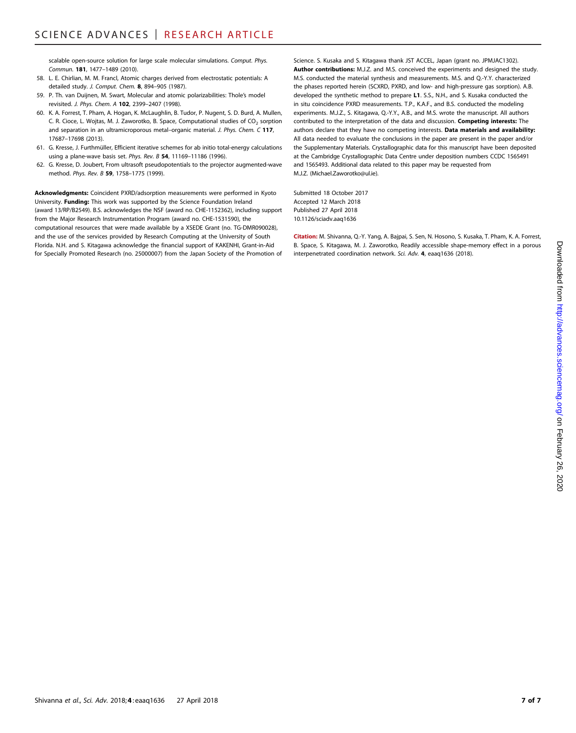scalable open-source solution for large scale molecular simulations. Comput. Phys. Commun. 181, 1477–1489 (2010).

- 58. L. E. Chirlian, M. M. Francl, Atomic charges derived from electrostatic potentials: A detailed study. J. Comput. Chem. 8, 894–905 (1987).
- 59. P. Th. van Duijnen, M. Swart, Molecular and atomic polarizabilities: Thole's model revisited. J. Phys. Chem. A 102, 2399–2407 (1998).
- 60. K. A. Forrest, T. Pham, A. Hogan, K. McLaughlin, B. Tudor, P. Nugent, S. D. Burd, A. Mullen, C. R. Cioce, L. Wojtas, M. J. Zaworotko, B. Space, Computational studies of  $CO_2$  sorption and separation in an ultramicroporous metal-organic material. J. Phys. Chem. C 117, 17687–17698 (2013).
- 61. G. Kresse, J. Furthmüller, Efficient iterative schemes for ab initio total-energy calculations using a plane-wave basis set. Phys. Rev. B 54, 11169-11186 (1996).
- 62. G. Kresse, D. Joubert, From ultrasoft pseudopotentials to the projector augmented-wave method. Phys. Rev. B 59, 1758–1775 (1999).

Acknowledgments: Coincident PXRD/adsorption measurements were performed in Kyoto University. Funding: This work was supported by the Science Foundation Ireland (award 13/RP/B2549). B.S. acknowledges the NSF (award no. CHE-1152362), including support from the Major Research Instrumentation Program (award no. CHE-1531590), the computational resources that were made available by a XSEDE Grant (no. TG-DMR090028), and the use of the services provided by Research Computing at the University of South Florida. N.H. and S. Kitagawa acknowledge the financial support of KAKENHI, Grant-in-Aid for Specially Promoted Research (no. 25000007) from the Japan Society of the Promotion of

Science. S. Kusaka and S. Kitagawa thank JST ACCEL, Japan (grant no. JPMJAC1302). Author contributions: M.J.Z. and M.S. conceived the experiments and designed the study. M.S. conducted the material synthesis and measurements. M.S. and Q.-Y.Y. characterized the phases reported herein (SCXRD, PXRD, and low- and high-pressure gas sorption). A.B. developed the synthetic method to prepare L1. S.S., N.H., and S. Kusaka conducted the in situ coincidence PXRD measurements. T.P., K.A.F., and B.S. conducted the modeling experiments. M.J.Z., S. Kitagawa, Q.-Y.Y., A.B., and M.S. wrote the manuscript. All authors contributed to the interpretation of the data and discussion. Competing interests: The authors declare that they have no competing interests. Data materials and availability: All data needed to evaluate the conclusions in the paper are present in the paper and/or the Supplementary Materials. Crystallographic data for this manuscript have been deposited at the Cambridge Crystallographic Data Centre under deposition numbers CCDC 1565491 and 1565493. Additional data related to this paper may be requested from M.J.Z. (Michael.Zaworotko@ul.ie).

Submitted 18 October 2017 Accepted 12 March 2018 Published 27 April 2018 10.1126/sciadv.aaq1636

Citation: M. Shivanna, Q.-Y. Yang, A. Bajpai, S. Sen, N. Hosono, S. Kusaka, T. Pham, K. A. Forrest, B. Space, S. Kitagawa, M. J. Zaworotko, Readily accessible shape-memory effect in a porous interpenetrated coordination network. Sci. Adv. 4, eaaq1636 (2018).